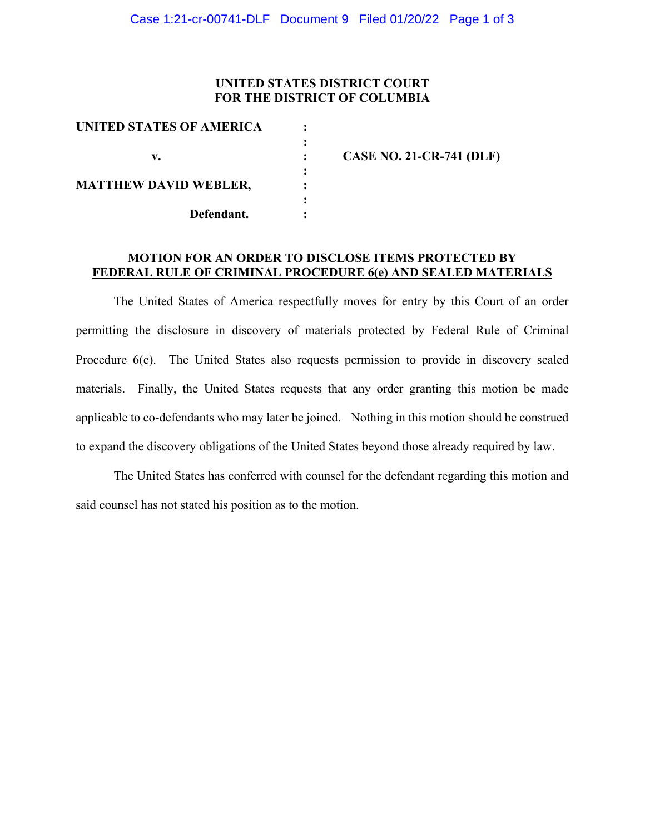## **UNITED STATES DISTRICT COURT FOR THE DISTRICT OF COLUMBIA**

|   | <b>CASE NO. 21-CR-741 (DLF)</b> |
|---|---------------------------------|
| ٠ |                                 |
|   |                                 |
|   |                                 |
|   |                                 |
|   |                                 |

## **MOTION FOR AN ORDER TO DISCLOSE ITEMS PROTECTED BY FEDERAL RULE OF CRIMINAL PROCEDURE 6(e) AND SEALED MATERIALS**

The United States of America respectfully moves for entry by this Court of an order permitting the disclosure in discovery of materials protected by Federal Rule of Criminal Procedure 6(e). The United States also requests permission to provide in discovery sealed materials. Finally, the United States requests that any order granting this motion be made applicable to co-defendants who may later be joined. Nothing in this motion should be construed to expand the discovery obligations of the United States beyond those already required by law.

The United States has conferred with counsel for the defendant regarding this motion and said counsel has not stated his position as to the motion.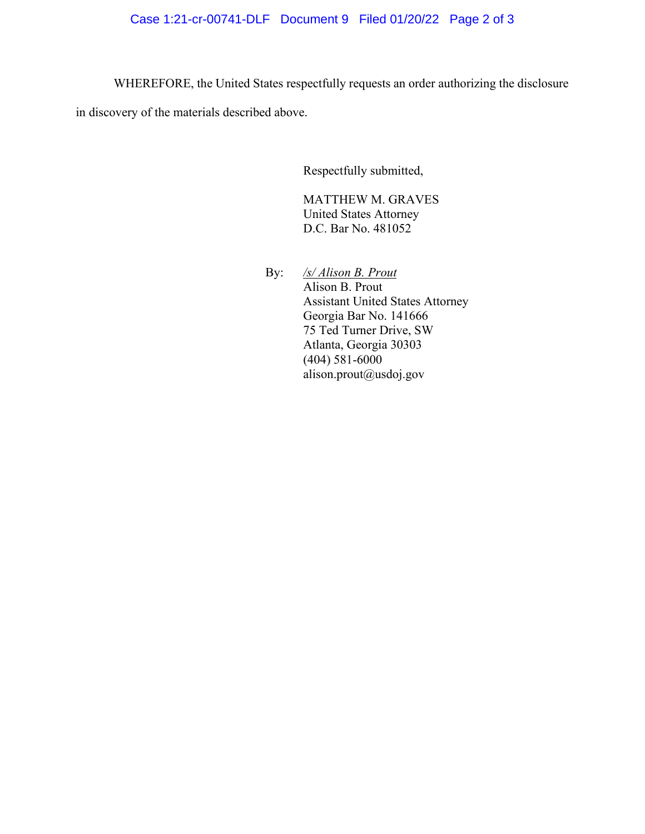WHEREFORE, the United States respectfully requests an order authorizing the disclosure

in discovery of the materials described above.

Respectfully submitted,

MATTHEW M. GRAVES United States Attorney D.C. Bar No. 481052

By: */s/ Alison B. Prout* Alison B. Prout Assistant United States Attorney Georgia Bar No. 141666 75 Ted Turner Drive, SW Atlanta, Georgia 30303 (404) 581-6000 alison.prout@usdoj.gov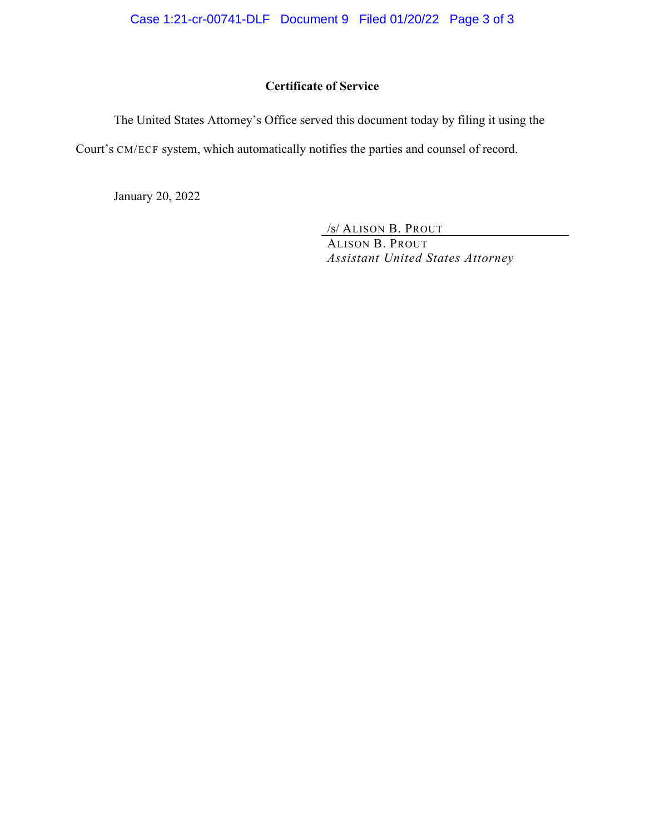# **Certificate of Service**

The United States Attorney's Office served this document today by filing it using the

Court's CM/ECF system, which automatically notifies the parties and counsel of record.

January 20, 2022

/s/ ALISON B. PROUT

ALISON B. PROUT *Assistant United States Attorney*